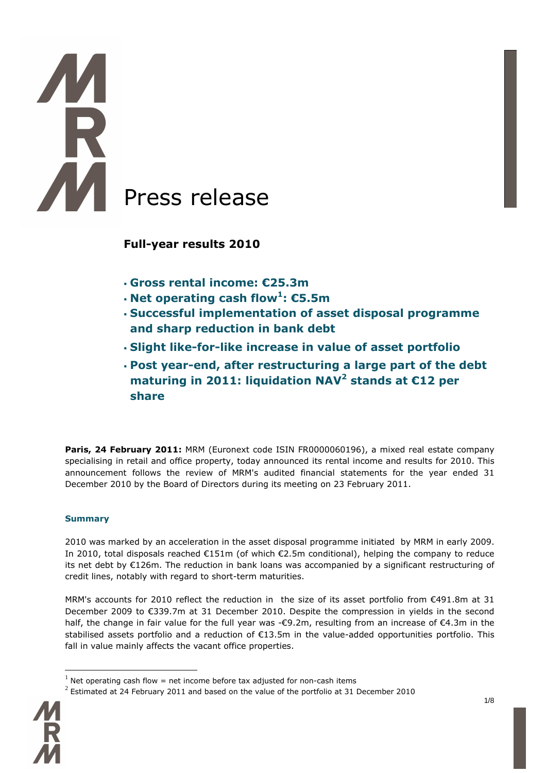# I Press release

**Full-year results 2010** 

- **Gross rental income: €25.3m**
- **Net operating cash flow<sup>1</sup> : €5.5m**
- **Successful implementation of asset disposal programme and sharp reduction in bank debt**
- **Slight like-for-like increase in value of asset portfolio**
- **Post year-end, after restructuring a large part of the debt maturing in 2011: liquidation NAV<sup>2</sup> stands at €12 per share**

Paris, 24 February 2011: MRM (Euronext code ISIN FR0000060196), a mixed real estate company specialising in retail and office property, today announced its rental income and results for 2010. This announcement follows the review of MRM's audited financial statements for the year ended 31 December 2010 by the Board of Directors during its meeting on 23 February 2011.

# **Summary**

2010 was marked by an acceleration in the asset disposal programme initiated by MRM in early 2009. In 2010, total disposals reached €151m (of which €2.5m conditional), helping the company to reduce its net debt by €126m. The reduction in bank loans was accompanied by a significant restructuring of credit lines, notably with regard to short-term maturities.

MRM's accounts for 2010 reflect the reduction in the size of its asset portfolio from €491.8m at 31 December 2009 to €339.7m at 31 December 2010. Despite the compression in yields in the second half, the change in fair value for the full year was -€9.2m, resulting from an increase of €4.3m in the stabilised assets portfolio and a reduction of €13.5m in the value-added opportunities portfolio. This fall in value mainly affects the vacant office properties.

 $^2$  Estimated at 24 February 2011 and based on the value of the portfolio at 31 December 2010



 $<sup>1</sup>$  Net operating cash flow = net income before tax adjusted for non-cash items</sup>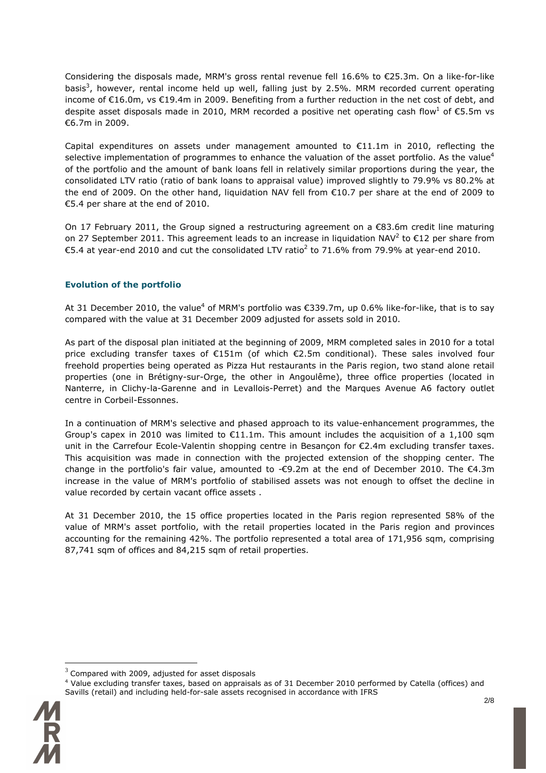Considering the disposals made, MRM's gross rental revenue fell 16.6% to €25.3m. On a like-for-like basis<sup>3</sup>, however, rental income held up well, falling just by 2.5%. MRM recorded current operating income of €16.0m, vs €19.4m in 2009. Benefiting from a further reduction in the net cost of debt, and despite asset disposals made in 2010, MRM recorded a positive net operating cash flow<sup>1</sup> of €5.5m vs €6.7m in 2009.

Capital expenditures on assets under management amounted to  $\epsilon$ 11.1m in 2010, reflecting the selective implementation of programmes to enhance the valuation of the asset portfolio. As the value<sup>4</sup> of the portfolio and the amount of bank loans fell in relatively similar proportions during the year, the consolidated LTV ratio (ratio of bank loans to appraisal value) improved slightly to 79.9% vs 80.2% at the end of 2009. On the other hand, liquidation NAV fell from €10.7 per share at the end of 2009 to €5.4 per share at the end of 2010.

On 17 February 2011, the Group signed a restructuring agreement on a €83.6m credit line maturing on 27 September 2011. This agreement leads to an increase in liquidation NAV<sup>2</sup> to  $\epsilon$ 12 per share from €5.4 at year-end 2010 and cut the consolidated LTV ratio<sup>2</sup> to 71.6% from 79.9% at year-end 2010.

# **Evolution of the portfolio**

At 31 December 2010, the value<sup>4</sup> of MRM's portfolio was  $\epsilon$ 339.7m, up 0.6% like-for-like, that is to say compared with the value at 31 December 2009 adjusted for assets sold in 2010.

As part of the disposal plan initiated at the beginning of 2009, MRM completed sales in 2010 for a total price excluding transfer taxes of €151m (of which €2.5m conditional). These sales involved four freehold properties being operated as Pizza Hut restaurants in the Paris region, two stand alone retail properties (one in Brétigny-sur-Orge, the other in Angoulême), three office properties (located in Nanterre, in Clichy-la-Garenne and in Levallois-Perret) and the Marques Avenue A6 factory outlet centre in Corbeil-Essonnes.

In a continuation of MRM's selective and phased approach to its value-enhancement programmes, the Group's capex in 2010 was limited to  $E11.1m$ . This amount includes the acquisition of a 1,100 sqm unit in the Carrefour Ecole-Valentin shopping centre in Besançon for €2.4m excluding transfer taxes. This acquisition was made in connection with the projected extension of the shopping center. The change in the portfolio's fair value, amounted to  $-\epsilon$ 9.2m at the end of December 2010. The  $\epsilon$ 4.3m increase in the value of MRM's portfolio of stabilised assets was not enough to offset the decline in value recorded by certain vacant office assets .

At 31 December 2010, the 15 office properties located in the Paris region represented 58% of the value of MRM's asset portfolio, with the retail properties located in the Paris region and provinces accounting for the remaining 42%. The portfolio represented a total area of 171,956 sqm, comprising 87,741 sqm of offices and 84,215 sqm of retail properties.

Savills (retail) and including held-for-sale assets recognised in accordance with IFRS



 $^3$  Compared with 2009, adjusted for asset disposals

<sup>4</sup> Value excluding transfer taxes, based on appraisals as of 31 December 2010 performed by Catella (offices) and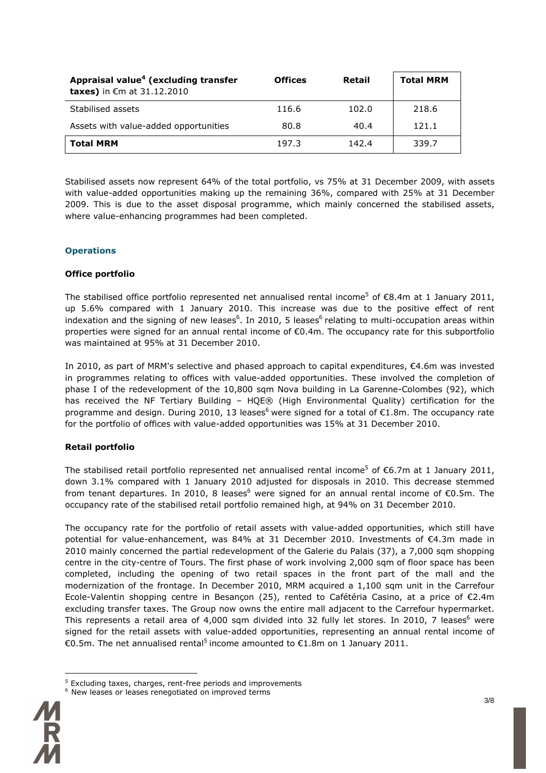| Appraisal value <sup>4</sup> (excluding transfer<br><b>taxes)</b> in €m at $31.12.2010$ | <b>Offices</b> | Retail | <b>Total MRM</b> |
|-----------------------------------------------------------------------------------------|----------------|--------|------------------|
| Stabilised assets                                                                       | 116.6          | 102.0  | 218.6            |
| Assets with value-added opportunities                                                   | 80.8           | 40.4   | 121.1            |
| <b>Total MRM</b>                                                                        | 197.3          | 142.4  | 339.7            |

Stabilised assets now represent 64% of the total portfolio, vs 75% at 31 December 2009, with assets with value-added opportunities making up the remaining 36%, compared with 25% at 31 December 2009. This is due to the asset disposal programme, which mainly concerned the stabilised assets, where value-enhancing programmes had been completed.

# **Operations**

## **Office portfolio**

The stabilised office portfolio represented net annualised rental income<sup>5</sup> of  $\epsilon$ 8.4m at 1 January 2011, up 5.6% compared with 1 January 2010. This increase was due to the positive effect of rent indexation and the signing of new leases<sup>6</sup>. In 2010, 5 leases<sup>6</sup> relating to multi-occupation areas within properties were signed for an annual rental income of €0.4m. The occupancy rate for this subportfolio was maintained at 95% at 31 December 2010.

In 2010, as part of MRM's selective and phased approach to capital expenditures, €4.6m was invested in programmes relating to offices with value-added opportunities. These involved the completion of phase I of the redevelopment of the 10,800 sqm Nova building in La Garenne-Colombes (92), which has received the NF Tertiary Building – HQE® (High Environmental Quality) certification for the programme and design. During 2010, 13 leases<sup>6</sup> were signed for a total of  $\epsilon$ 1.8m. The occupancy rate for the portfolio of offices with value-added opportunities was 15% at 31 December 2010.

# **Retail portfolio**

The stabilised retail portfolio represented net annualised rental income<sup>5</sup> of €6.7m at 1 January 2011, down 3.1% compared with 1 January 2010 adjusted for disposals in 2010. This decrease stemmed from tenant departures. In 2010, 8 leases<sup>6</sup> were signed for an annual rental income of  $\epsilon$ 0.5m. The occupancy rate of the stabilised retail portfolio remained high, at 94% on 31 December 2010.

The occupancy rate for the portfolio of retail assets with value-added opportunities, which still have potential for value-enhancement, was 84% at 31 December 2010. Investments of €4.3m made in 2010 mainly concerned the partial redevelopment of the Galerie du Palais (37), a 7,000 sqm shopping centre in the city-centre of Tours. The first phase of work involving 2,000 sqm of floor space has been completed, including the opening of two retail spaces in the front part of the mall and the modernization of the frontage. In December 2010, MRM acquired a 1,100 sqm unit in the Carrefour Ecole-Valentin shopping centre in Besançon (25), rented to Cafétéria Casino, at a price of €2.4m excluding transfer taxes. The Group now owns the entire mall adjacent to the Carrefour hypermarket. This represents a retail area of 4,000 sqm divided into 32 fully let stores. In 2010, 7 leases<sup>6</sup> were signed for the retail assets with value-added opportunities, representing an annual rental income of €0.5m. The net annualised rental<sup>5</sup> income amounted to €1.8m on 1 January 2011.

<sup>&</sup>lt;sup>6</sup> New leases or leases renegotiated on improved terms



<sup>&</sup>lt;sup>5</sup> Excluding taxes, charges, rent-free periods and improvements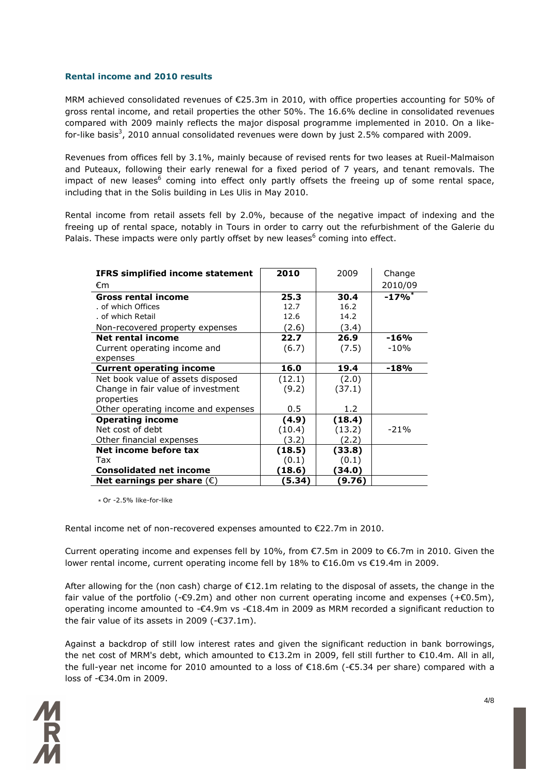### **Rental income and 2010 results**

MRM achieved consolidated revenues of €25.3m in 2010, with office properties accounting for 50% of gross rental income, and retail properties the other 50%. The 16.6% decline in consolidated revenues compared with 2009 mainly reflects the major disposal programme implemented in 2010. On a likefor-like basis<sup>3</sup>, 2010 annual consolidated revenues were down by just 2.5% compared with 2009.

Revenues from offices fell by 3.1%, mainly because of revised rents for two leases at Rueil-Malmaison and Puteaux, following their early renewal for a fixed period of 7 years, and tenant removals. The impact of new leases<sup>6</sup> coming into effect only partly offsets the freeing up of some rental space, including that in the Solis building in Les Ulis in May 2010.

Rental income from retail assets fell by 2.0%, because of the negative impact of indexing and the freeing up of rental space, notably in Tours in order to carry out the refurbishment of the Galerie du Palais. These impacts were only partly offset by new leases<sup>6</sup> coming into effect.

| <b>IFRS simplified income statement</b> | 2010   | 2009   | Change               |
|-----------------------------------------|--------|--------|----------------------|
| €m                                      |        |        | 2010/09              |
| <b>Gross rental income</b>              | 25.3   | 30.4   | $-17\%$ <sup>*</sup> |
| of which Offices                        | 12.7   | 16.2   |                      |
| of which Retail                         | 12.6   | 14.2   |                      |
| Non-recovered property expenses         | (2.6)  | (3.4)  |                      |
| Net rental income                       | 22.7   | 26.9   | $-16%$               |
| Current operating income and            | (6.7)  | (7.5)  | $-10%$               |
| expenses                                |        |        |                      |
| <b>Current operating income</b>         | 16.0   | 19.4   | $-18%$               |
| Net book value of assets disposed       | (12.1) | (2.0)  |                      |
| Change in fair value of investment      | (9.2)  | (37.1) |                      |
| properties                              |        |        |                      |
| Other operating income and expenses     | 0.5    | 1.2    |                      |
| <b>Operating income</b>                 | (4.9)  | (18.4) |                      |
| Net cost of debt                        | (10.4) | (13.2) | $-21%$               |
| Other financial expenses                | (3.2)  | (2.2)  |                      |
| Net income before tax                   | (18.5) | (33.8) |                      |
| Tax                                     | (0.1)  | (0.1)  |                      |
| <b>Consolidated net income</b>          | (18.6) | (34.0) |                      |
| Net earnings per share $(\epsilon)$     | (5.34  | (9.76) |                      |

*\** Or -2.5% like-for-like

Rental income net of non-recovered expenses amounted to €22.7m in 2010.

Current operating income and expenses fell by 10%, from €7.5m in 2009 to €6.7m in 2010. Given the lower rental income, current operating income fell by 18% to €16.0m vs €19.4m in 2009.

After allowing for the (non cash) charge of €12.1m relating to the disposal of assets, the change in the fair value of the portfolio (- $\epsilon$ 9.2m) and other non current operating income and expenses (+ $\epsilon$ 0.5m), operating income amounted to -€4.9m vs -€18.4m in 2009 as MRM recorded a significant reduction to the fair value of its assets in 2009 ( $-\epsilon$ 37.1m).

Against a backdrop of still low interest rates and given the significant reduction in bank borrowings, the net cost of MRM's debt, which amounted to €13.2m in 2009, fell still further to €10.4m. All in all, the full-year net income for 2010 amounted to a loss of €18.6m (-€5.34 per share) compared with a loss of -€34.0m in 2009.

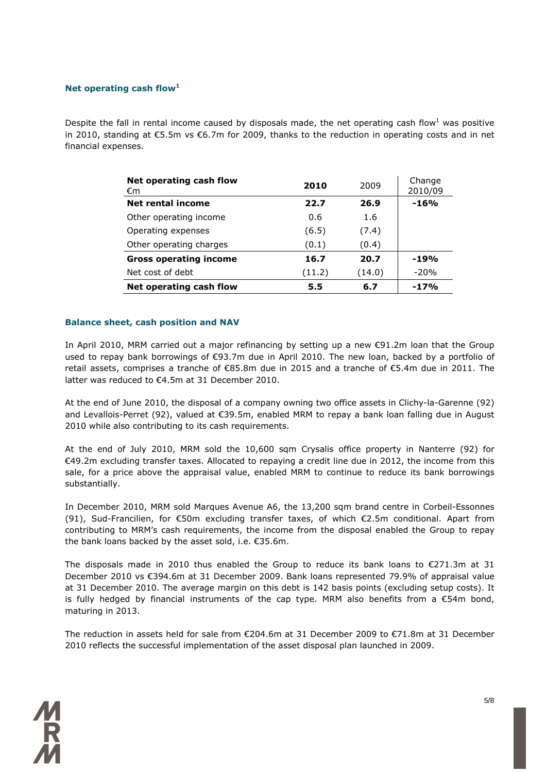### **Net operating cash flow<sup>1</sup>**

Despite the fall in rental income caused by disposals made, the net operating cash flow<sup>1</sup> was positive in 2010, standing at €5.5m vs €6.7m for 2009, thanks to the reduction in operating costs and in net financial expenses.

| Net operating cash flow<br>€m | 2010   | 2009   | Change<br>2010/09 |
|-------------------------------|--------|--------|-------------------|
| Net rental income             | 22.7   | 26.9   | $-16%$            |
| Other operating income        | 0.6    | 1.6    |                   |
| Operating expenses            | (6.5)  | (7.4)  |                   |
| Other operating charges       | (0.1)  | (0.4)  |                   |
| <b>Gross operating income</b> | 16.7   | 20.7   | $-19%$            |
| Net cost of debt              | (11.2) | (14.0) | $-20%$            |
| Net operating cash flow       | 5.5    | 6.7    | $-17%$            |

### **Balance sheet, cash position and NAV**

In April 2010, MRM carried out a major refinancing by setting up a new €91.2m loan that the Group used to repay bank borrowings of €93.7m due in April 2010. The new loan, backed by a portfolio of retail assets, comprises a tranche of €85.8m due in 2015 and a tranche of €5.4m due in 2011. The latter was reduced to €4.5m at 31 December 2010.

At the end of June 2010, the disposal of a company owning two office assets in Clichy-la-Garenne (92) and Levallois-Perret (92), valued at €39.5m, enabled MRM to repay a bank loan falling due in August 2010 while also contributing to its cash requirements.

At the end of July 2010, MRM sold the 10,600 sqm Crysalis office property in Nanterre (92) for €49.2m excluding transfer taxes. Allocated to repaying a credit line due in 2012, the income from this sale, for a price above the appraisal value, enabled MRM to continue to reduce its bank borrowings substantially.

In December 2010, MRM sold Marques Avenue A6, the 13,200 sqm brand centre in Corbeil-Essonnes (91), Sud-Francilien, for €50m excluding transfer taxes, of which €2.5m conditional. Apart from contributing to MRM's cash requirements, the income from the disposal enabled the Group to repay the bank loans backed by the asset sold, i.e. €35.6m.

The disposals made in 2010 thus enabled the Group to reduce its bank loans to  $\epsilon$ 271.3m at 31 December 2010 vs €394.6m at 31 December 2009. Bank loans represented 79.9% of appraisal value at 31 December 2010. The average margin on this debt is 142 basis points (excluding setup costs). It is fully hedged by financial instruments of the cap type. MRM also benefits from a  $\epsilon$ 54m bond, maturing in 2013.

The reduction in assets held for sale from €204.6m at 31 December 2009 to €71.8m at 31 December 2010 reflects the successful implementation of the asset disposal plan launched in 2009.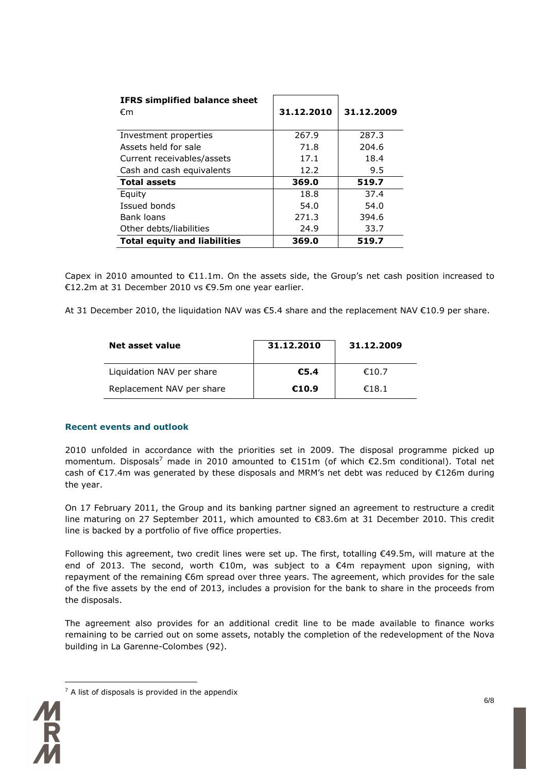| <b>IFRS simplified balance sheet</b><br>€m | 31.12.2010 | 31.12.2009 |
|--------------------------------------------|------------|------------|
| Investment properties                      | 267.9      | 287.3      |
| Assets held for sale                       | 71.8       | 204.6      |
| Current receivables/assets                 | 17.1       | 18.4       |
| Cash and cash equivalents                  | 12.2       | 9.5        |
| <b>Total assets</b>                        | 369.0      | 519.7      |
| Equity                                     | 18.8       | 37.4       |
| Issued bonds                               | 54.0       | 54.0       |
| Bank loans                                 | 271.3      | 394.6      |
| Other debts/liabilities                    | 24.9       | 33.7       |
| <b>Total equity and liabilities</b>        | 369.0      | 519.7      |

Capex in 2010 amounted to  $E11.1m$ . On the assets side, the Group's net cash position increased to €12.2m at 31 December 2010 vs €9.5m one year earlier.

At 31 December 2010, the liquidation NAV was €5.4 share and the replacement NAV €10.9 per share.

| Net asset value           | 31.12.2010 | 31.12.2009 |  |
|---------------------------|------------|------------|--|
| Liquidation NAV per share | €5.4       | €10.7      |  |
| Replacement NAV per share | €10.9      | €18.1      |  |

## **Recent events and outlook**

2010 unfolded in accordance with the priorities set in 2009. The disposal programme picked up momentum. Disposals<sup>7</sup> made in 2010 amounted to  $\epsilon$ 151m (of which  $\epsilon$ 2.5m conditional). Total net cash of  $E17.4$ m was generated by these disposals and MRM's net debt was reduced by  $E126$ m during the year.

On 17 February 2011, the Group and its banking partner signed an agreement to restructure a credit line maturing on 27 September 2011, which amounted to €83.6m at 31 December 2010. This credit line is backed by a portfolio of five office properties.

Following this agreement, two credit lines were set up. The first, totalling €49.5m, will mature at the end of 2013. The second, worth €10m, was subject to a €4m repayment upon signing, with repayment of the remaining €6m spread over three years. The agreement, which provides for the sale of the five assets by the end of 2013, includes a provision for the bank to share in the proceeds from the disposals.

The agreement also provides for an additional credit line to be made available to finance works remaining to be carried out on some assets, notably the completion of the redevelopment of the Nova building in La Garenne-Colombes (92).



 $7$  A list of disposals is provided in the appendix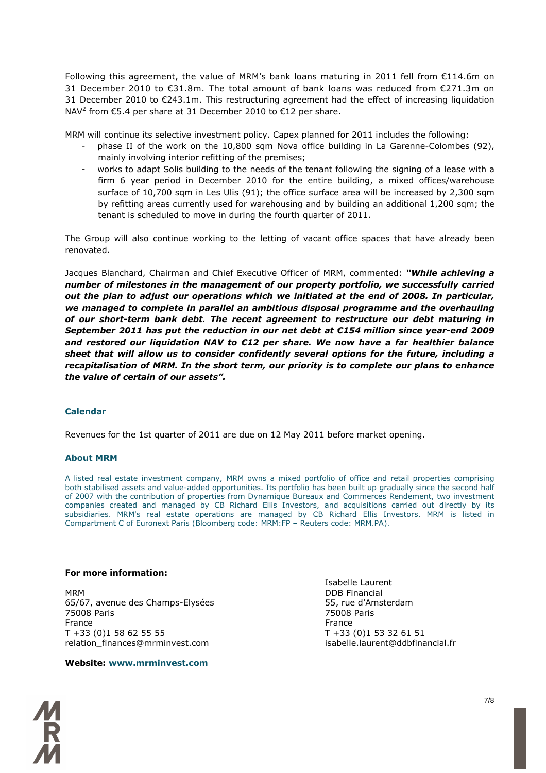Following this agreement, the value of MRM's bank loans maturing in 2011 fell from €114.6m on 31 December 2010 to €31.8m. The total amount of bank loans was reduced from €271.3m on 31 December 2010 to €243.1m. This restructuring agreement had the effect of increasing liquidation NAV<sup>2</sup> from  $\epsilon$ 5.4 per share at 31 December 2010 to  $\epsilon$ 12 per share.

MRM will continue its selective investment policy. Capex planned for 2011 includes the following:

- phase II of the work on the 10,800 sqm Nova office building in La Garenne-Colombes (92), mainly involving interior refitting of the premises;
- works to adapt Solis building to the needs of the tenant following the signing of a lease with a firm 6 year period in December 2010 for the entire building, a mixed offices/warehouse surface of 10,700 sqm in Les Ulis (91); the office surface area will be increased by 2,300 sqm by refitting areas currently used for warehousing and by building an additional 1,200 sqm; the tenant is scheduled to move in during the fourth quarter of 2011.

The Group will also continue working to the letting of vacant office spaces that have already been renovated.

Jacques Blanchard, Chairman and Chief Executive Officer of MRM, commented: *"While achieving a number of milestones in the management of our property portfolio, we successfully carried out the plan to adjust our operations which we initiated at the end of 2008. In particular, we managed to complete in parallel an ambitious disposal programme and the overhauling of our short-term bank debt. The recent agreement to restructure our debt maturing in September 2011 has put the reduction in our net debt at €154 million since year-end 2009 and restored our liquidation NAV to €12 per share. We now have a far healthier balance sheet that will allow us to consider confidently several options for the future, including a recapitalisation of MRM. In the short term, our priority is to complete our plans to enhance the value of certain of our assets".*

## **Calendar**

Revenues for the 1st quarter of 2011 are due on 12 May 2011 before market opening.

### **About MRM**

A listed real estate investment company, MRM owns a mixed portfolio of office and retail properties comprising both stabilised assets and value-added opportunities. Its portfolio has been built up gradually since the second half of 2007 with the contribution of properties from Dynamique Bureaux and Commerces Rendement, two investment companies created and managed by CB Richard Ellis Investors, and acquisitions carried out directly by its subsidiaries. MRM's real estate operations are managed by CB Richard Ellis Investors. MRM is listed in Compartment C of Euronext Paris (Bloomberg code: MRM:FP – Reuters code: MRM.PA).

### **For more information:**

MRM DDB Financial 65/67, avenue des Champs-Elysées 55, rue d'Amsterdam 75008 Paris 75008 Paris France **France France** T +33 (0)1 58 62 55 55 T +33 (0)1 53 32 61 51 relation finances@mrminvest.com isabelle.laurent@ddbfinancial.fr

### **Website: www.mrminvest.com**

Isabelle Laurent